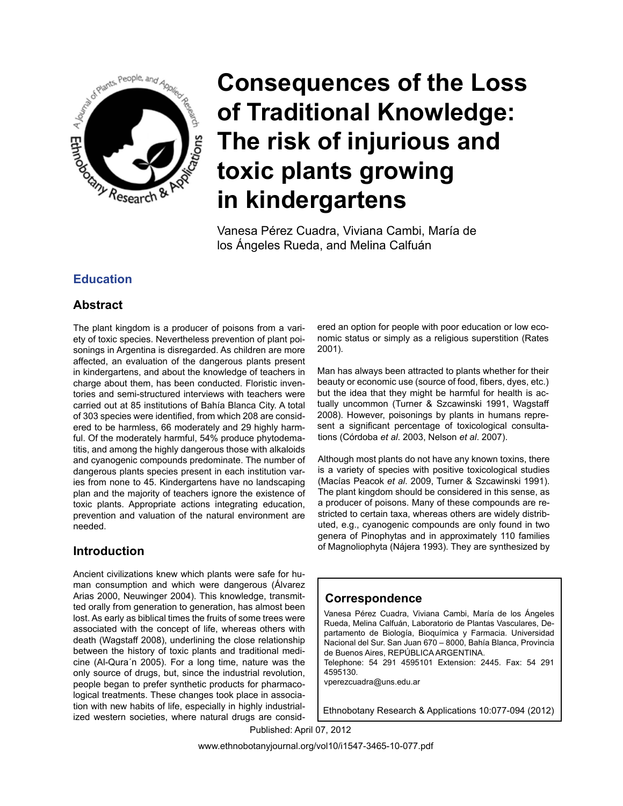

Vanesa Pérez Cuadra, Viviana Cambi, María de los Ángeles Rueda, and Melina Calfuán

# **Education**

# **Abstract**

The plant kingdom is a producer of poisons from a variety of toxic species. Nevertheless prevention of plant poisonings in Argentina is disregarded. As children are more affected, an evaluation of the dangerous plants present in kindergartens, and about the knowledge of teachers in charge about them, has been conducted. Floristic inventories and semi-structured interviews with teachers were carried out at 85 institutions of Bahía Blanca City. A total of 303 species were identified, from which 208 are considered to be harmless, 66 moderately and 29 highly harmful. Of the moderately harmful, 54% produce phytodematitis, and among the highly dangerous those with alkaloids and cyanogenic compounds predominate. The number of dangerous plants species present in each institution varies from none to 45. Kindergartens have no landscaping plan and the majority of teachers ignore the existence of toxic plants. Appropriate actions integrating education, prevention and valuation of the natural environment are needed.

# **Introduction**

Ancient civilizations knew which plants were safe for human consumption and which were dangerous (Álvarez Arias 2000, Neuwinger 2004). This knowledge, transmitted orally from generation to generation, has almost been lost. As early as biblical times the fruits of some trees were associated with the concept of life, whereas others with death (Wagstaff 2008), underlining the close relationship between the history of toxic plants and traditional medicine (Al-Qura´n 2005). For a long time, nature was the only source of drugs, but, since the industrial revolution, people began to prefer synthetic products for pharmacological treatments. These changes took place in association with new habits of life, especially in highly industrialized western societies, where natural drugs are considered an option for people with poor education or low economic status or simply as a religious superstition (Rates 2001).

Man has always been attracted to plants whether for their beauty or economic use (source of food, fibers, dyes, etc.) but the idea that they might be harmful for health is actually uncommon (Turner & Szcawinski 1991, Wagstaff 2008). However, poisonings by plants in humans represent a significant percentage of toxicological consultations (Córdoba *et al*. 2003, Nelson *et al*. 2007).

Although most plants do not have any known toxins, there is a variety of species with positive toxicological studies (Macías Peacok *et al*. 2009, Turner & Szcawinski 1991). The plant kingdom should be considered in this sense, as a producer of poisons. Many of these compounds are restricted to certain taxa, whereas others are widely distributed, e.g., cyanogenic compounds are only found in two genera of Pinophytas and in approximately 110 families of Magnoliophyta (Nájera 1993). They are synthesized by

## **Correspondence**

Vanesa Pérez Cuadra, Viviana Cambi, María de los Ángeles Rueda, Melina Calfuán, Laboratorio de Plantas Vasculares, Departamento de Biología, Bioquímica y Farmacia. Universidad Nacional del Sur. San Juan 670 – 8000, Bahía Blanca, Provincia de Buenos Aires, REPÚBLICA ARGENTINA.

Telephone: 54 291 4595101 Extension: 2445. Fax: 54 291 4595130.

vperezcuadra@uns.edu.ar

Ethnobotany Research & Applications 10:077-094 (2012)

Published: April 07, 2012

www.ethnobotanyjournal.org/vol10/i1547-3465-10-077.pdf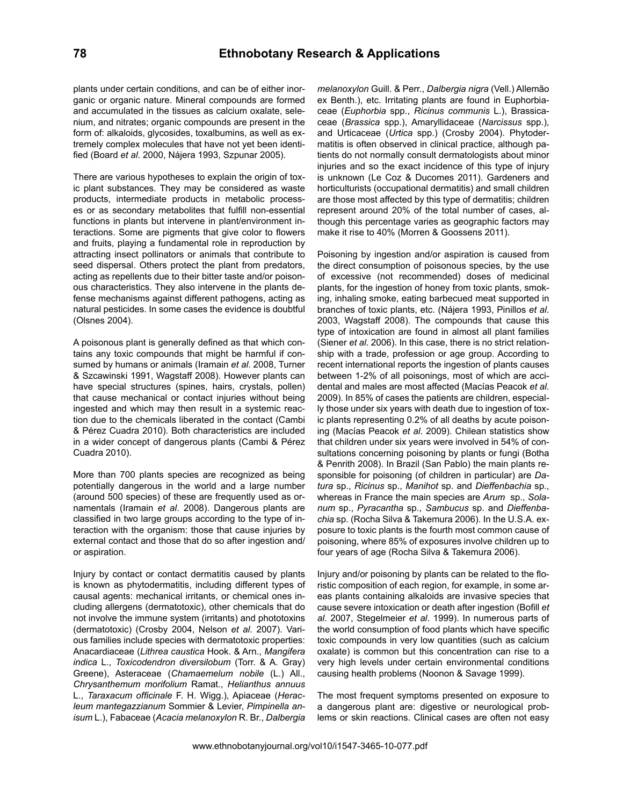plants under certain conditions, and can be of either inorganic or organic nature. Mineral compounds are formed and accumulated in the tissues as calcium oxalate, selenium, and nitrates; organic compounds are present in the form of: alkaloids, glycosides, toxalbumins, as well as extremely complex molecules that have not yet been identified (Board *et al*. 2000, Nájera 1993, Szpunar 2005).

There are various hypotheses to explain the origin of toxic plant substances. They may be considered as waste products, intermediate products in metabolic processes or as secondary metabolites that fulfill non-essential functions in plants but intervene in plant/environment interactions. Some are pigments that give color to flowers and fruits, playing a fundamental role in reproduction by attracting insect pollinators or animals that contribute to seed dispersal. Others protect the plant from predators, acting as repellents due to their bitter taste and/or poisonous characteristics. They also intervene in the plants defense mechanisms against different pathogens, acting as natural pesticides. In some cases the evidence is doubtful (Olsnes 2004).

A poisonous plant is generally defined as that which contains any toxic compounds that might be harmful if consumed by humans or animals (Iramain *et al*. 2008, Turner & Szcawinski 1991, Wagstaff 2008). However plants can have special structures (spines, hairs, crystals, pollen) that cause mechanical or contact injuries without being ingested and which may then result in a systemic reaction due to the chemicals liberated in the contact (Cambi & Pérez Cuadra 2010). Both characteristics are included in a wider concept of dangerous plants (Cambi & Pérez Cuadra 2010).

More than 700 plants species are recognized as being potentially dangerous in the world and a large number (around 500 species) of these are frequently used as ornamentals (Iramain *et al*. 2008). Dangerous plants are classified in two large groups according to the type of interaction with the organism: those that cause injuries by external contact and those that do so after ingestion and/ or aspiration.

Injury by contact or contact dermatitis caused by plants is known as phytodermatitis, including different types of causal agents: mechanical irritants, or chemical ones including allergens (dermatotoxic), other chemicals that do not involve the immune system (irritants) and phototoxins (dermatotoxic) (Crosby 2004, Nelson *et al*. 2007). Various families include species with dermatotoxic properties: Anacardiaceae (*Lithrea caustica* Hook. & Arn., *Mangifera indica* L., *Toxicodendron diversilobum* (Torr. & A. Gray) Greene), Asteraceae (*Chamaemelum nobile* (L.) All., *Chrysanthemum morifolium* Ramat., *Helianthus annuus*  L., *Taraxacum officinale* F. H. Wigg.), Apiaceae (*Heracleum mantegazzianum* Sommier & Levier, *Pimpinella anisum* L.), Fabaceae (*Acacia melanoxylon* R. Br., *Dalbergia* 

*melanoxylon* Guill. & Perr., *Dalbergia nigra* (Vell.) Allemão ex Benth.), etc. Irritating plants are found in Euphorbiaceae (*Euphorbia* spp., *Ricinus communis* L.), Brassicaceae (*Brassica* spp.), Amaryllidaceae (*Narcissus* spp.), and Urticaceae (*Urtica* spp.) (Crosby 2004). Phytodermatitis is often observed in clinical practice, although patients do not normally consult dermatologists about minor injuries and so the exact incidence of this type of injury is unknown (Le Coz & Ducomes 2011). Gardeners and horticulturists (occupational dermatitis) and small children are those most affected by this type of dermatitis; children represent around 20% of the total number of cases, although this percentage varies as geographic factors may make it rise to 40% (Morren & Goossens 2011).

Poisoning by ingestion and/or aspiration is caused from the direct consumption of poisonous species, by the use of excessive (not recommended) doses of medicinal plants, for the ingestion of honey from toxic plants, smoking, inhaling smoke, eating barbecued meat supported in branches of toxic plants, etc. (Nájera 1993, Pinillos *et al*. 2003, Wagstaff 2008). The compounds that cause this type of intoxication are found in almost all plant families (Siener *et al*. 2006). In this case, there is no strict relationship with a trade, profession or age group. According to recent international reports the ingestion of plants causes between 1-2% of all poisonings, most of which are accidental and males are most affected (Macías Peacok *et al*. 2009). In 85% of cases the patients are children, especially those under six years with death due to ingestion of toxic plants representing 0.2% of all deaths by acute poisoning (Macías Peacok *et al*. 2009). Chilean statistics show that children under six years were involved in 54% of consultations concerning poisoning by plants or fungi (Botha & Penrith 2008). In Brazil (San Pablo) the main plants responsible for poisoning (of children in particular) are *Datura* sp., *Ricinus* sp., *Manihot* sp. and *Dieffenbachia* sp., whereas in France the main species are *Arum* sp., *Solanum* sp., *Pyracantha* sp., *Sambucus* sp. and *Dieffenbachia* sp. (Rocha Silva & Takemura 2006). In the U.S.A. exposure to toxic plants is the fourth most common cause of poisoning, where 85% of exposures involve children up to four years of age (Rocha Silva & Takemura 2006).

Injury and/or poisoning by plants can be related to the floristic composition of each region, for example, in some areas plants containing alkaloids are invasive species that cause severe intoxication or death after ingestion (Bofill *et al*. 2007, Stegelmeier *et al*. 1999). In numerous parts of the world consumption of food plants which have specific toxic compounds in very low quantities (such as calcium oxalate) is common but this concentration can rise to a very high levels under certain environmental conditions causing health problems (Noonon & Savage 1999).

The most frequent symptoms presented on exposure to a dangerous plant are: digestive or neurological problems or skin reactions. Clinical cases are often not easy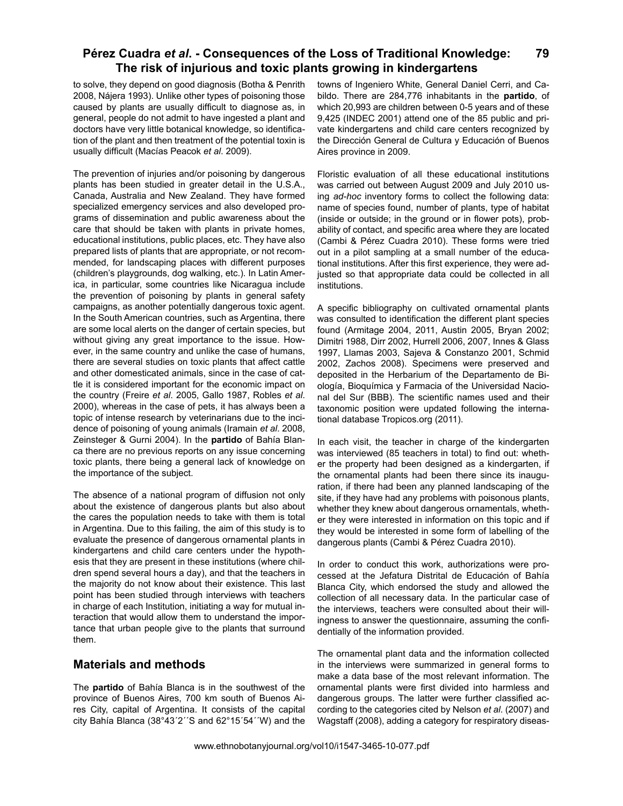to solve, they depend on good diagnosis (Botha & Penrith 2008, Nájera 1993). Unlike other types of poisoning those caused by plants are usually difficult to diagnose as, in general, people do not admit to have ingested a plant and doctors have very little botanical knowledge, so identification of the plant and then treatment of the potential toxin is usually difficult (Macías Peacok *et al*. 2009).

The prevention of injuries and/or poisoning by dangerous plants has been studied in greater detail in the U.S.A., Canada, Australia and New Zealand. They have formed specialized emergency services and also developed programs of dissemination and public awareness about the care that should be taken with plants in private homes, educational institutions, public places, etc. They have also prepared lists of plants that are appropriate, or not recommended, for landscaping places with different purposes (children's playgrounds, dog walking, etc.). In Latin America, in particular, some countries like Nicaragua include the prevention of poisoning by plants in general safety campaigns, as another potentially dangerous toxic agent. In the South American countries, such as Argentina, there are some local alerts on the danger of certain species, but without giving any great importance to the issue. However, in the same country and unlike the case of humans, there are several studies on toxic plants that affect cattle and other domesticated animals, since in the case of cattle it is considered important for the economic impact on the country (Freire *et al*. 2005, Gallo 1987, Robles *et al*. 2000), whereas in the case of pets, it has always been a topic of intense research by veterinarians due to the incidence of poisoning of young animals (Iramain *et al*. 2008, Zeinsteger & Gurni 2004). In the **partido** of Bahía Blanca there are no previous reports on any issue concerning toxic plants, there being a general lack of knowledge on the importance of the subject.

The absence of a national program of diffusion not only about the existence of dangerous plants but also about the cares the population needs to take with them is total in Argentina. Due to this failing, the aim of this study is to evaluate the presence of dangerous ornamental plants in kindergartens and child care centers under the hypothesis that they are present in these institutions (where children spend several hours a day), and that the teachers in the majority do not know about their existence. This last point has been studied through interviews with teachers in charge of each Institution, initiating a way for mutual interaction that would allow them to understand the importance that urban people give to the plants that surround them.

# **Materials and methods**

The **partido** of Bahía Blanca is in the southwest of the province of Buenos Aires, 700 km south of Buenos Aires City, capital of Argentina. It consists of the capital city Bahía Blanca (38°43´2´´S and 62°15´54´´W) and the

towns of Ingeniero White, General Daniel Cerri, and Cabildo. There are 284,776 inhabitants in the **partido**, of which 20,993 are children between 0-5 years and of these 9,425 (INDEC 2001) attend one of the 85 public and private kindergartens and child care centers recognized by the Dirección General de Cultura y Educación of Buenos Aires province in 2009.

Floristic evaluation of all these educational institutions was carried out between August 2009 and July 2010 using *ad-hoc* inventory forms to collect the following data: name of species found, number of plants, type of habitat (inside or outside; in the ground or in flower pots), probability of contact, and specific area where they are located (Cambi & Pérez Cuadra 2010). These forms were tried out in a pilot sampling at a small number of the educational institutions. After this first experience, they were adjusted so that appropriate data could be collected in all institutions.

A specific bibliography on cultivated ornamental plants was consulted to identification the different plant species found (Armitage 2004, 2011, Austin 2005, Bryan 2002; Dimitri 1988, Dirr 2002, Hurrell 2006, 2007, Innes & Glass 1997, Llamas 2003, Sajeva & Constanzo 2001, Schmid 2002, Zachos 2008). Specimens were preserved and deposited in the Herbarium of the Departamento de Biología, Bioquímica y Farmacia of the Universidad Nacional del Sur (BBB). The scientific names used and their taxonomic position were updated following the international database Tropicos.org (2011).

In each visit, the teacher in charge of the kindergarten was interviewed (85 teachers in total) to find out: whether the property had been designed as a kindergarten, if the ornamental plants had been there since its inauguration, if there had been any planned landscaping of the site, if they have had any problems with poisonous plants, whether they knew about dangerous ornamentals, whether they were interested in information on this topic and if they would be interested in some form of labelling of the dangerous plants (Cambi & Pérez Cuadra 2010).

In order to conduct this work, authorizations were processed at the Jefatura Distrital de Educación of Bahía Blanca City, which endorsed the study and allowed the collection of all necessary data. In the particular case of the interviews, teachers were consulted about their willingness to answer the questionnaire, assuming the confidentially of the information provided.

The ornamental plant data and the information collected in the interviews were summarized in general forms to make a data base of the most relevant information. The ornamental plants were first divided into harmless and dangerous groups. The latter were further classified according to the categories cited by Nelson *et al*. (2007) and Wagstaff (2008), adding a category for respiratory diseas-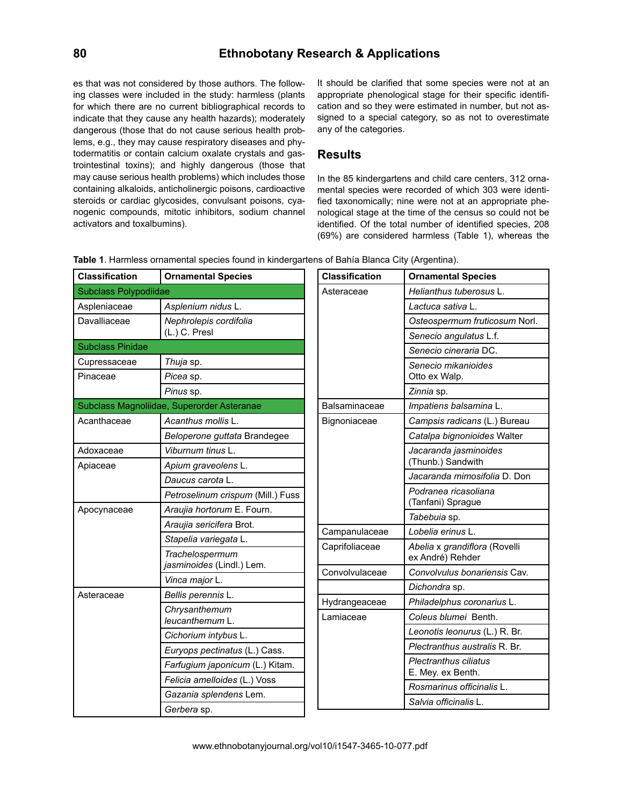# **80 Ethnobotany Research & Applications**

es that was not considered by those authors. The following classes were included in the study: harmless (plants for which there are no current bibliographical records to indicate that they cause any health hazards); moderately dangerous (those that do not cause serious health problems, e.g., they may cause respiratory diseases and phytodermatitis or contain calcium oxalate crystals and gastrointestinal toxins); and highly dangerous (those that may cause serious health problems) which includes those containing alkaloids, anticholinergic poisons, cardioactive steroids or cardiac glycosides, convulsant poisons, cyanogenic compounds, mitotic inhibitors, sodium channel activators and toxalbumins).

It should be clarified that some species were not at an appropriate phenological stage for their specific identification and so they were estimated in number, but not assigned to a special category, so as not to overestimate any of the categories.

## **Results**

In the 85 kindergartens and child care centers, 312 ornamental species were recorded of which 303 were identified taxonomically; nine were not at an appropriate phenological stage at the time of the census so could not be identified. Of the total number of identified species, 208 (69%) are considered harmless (Table 1), whereas the

|  |  | Table 1. Harmless ornamental species found in kindergartens of Bahía Blanca City (Argentina). |  |
|--|--|-----------------------------------------------------------------------------------------------|--|
|--|--|-----------------------------------------------------------------------------------------------|--|

| <b>Classification</b>        | <b>Ornamental Species</b>                    | <b>Classification</b> | <b>Ornamental Species</b>                         |
|------------------------------|----------------------------------------------|-----------------------|---------------------------------------------------|
| <b>Subclass Polypodiidae</b> |                                              | Asteraceae            | Helianthus tuberosus L.                           |
| Aspleniaceae                 | Asplenium nidus L.                           |                       | Lactuca sativa L.                                 |
| Davalliaceae                 | Nephrolepis cordifolia                       |                       | Osteospermum fruticosum Norl.                     |
|                              | (L.) C. Presl                                |                       | Senecio angulatus L.f.                            |
| <b>Subclass Pinidae</b>      |                                              |                       | Senecio cineraria DC.                             |
| Cupressaceae<br>Pinaceae     | Thuja sp.<br>Picea sp.                       |                       | Senecio mikanioides<br>Otto ex Walp.              |
|                              | Pinus sp.                                    |                       | Zinnia sp.                                        |
|                              | Subclass Magnoliidae, Superorder Asteranae   | Balsaminaceae         | Impatiens balsamina L.                            |
| Acanthaceae                  | Acanthus mollis L.                           | Bignoniaceae          | Campsis radicans (L.) Bureau                      |
|                              | Beloperone guttata Brandegee                 |                       | Catalpa bignonioides Walter                       |
| Adoxaceae                    | Viburnum tinus L.                            |                       | Jacaranda jasminoides                             |
| Apiaceae                     | Apium graveolens L.                          |                       | (Thunb.) Sandwith                                 |
|                              | Daucus carota L.                             |                       | Jacaranda mimosifolia D. Don                      |
|                              | Petroselinum crispum (Mill.) Fuss            |                       | Podranea ricasoliana<br>(Tanfani) Sprague         |
| Apocynaceae                  | Araujia hortorum E. Fourn.                   |                       |                                                   |
|                              | Araujia sericifera Brot.                     | Campanulaceae         | Tabebuia sp.<br>Lobelia erinus L.                 |
|                              | Stapelia variegata L.                        |                       |                                                   |
|                              | Trachelospermum<br>jasminoides (Lindl.) Lem. | Caprifoliaceae        | Abelia x grandiflora (Rovelli<br>ex André) Rehder |
|                              | Vinca major L.                               | Convolvulaceae        | Convolvulus bonariensis Cav.                      |
| Asteraceae                   |                                              |                       | Dichondra sp.                                     |
|                              | Bellis perennis L.                           | Hydrangeaceae         | Philadelphus coronarius L.                        |
|                              | Chrysanthemum<br>leucanthemum L.             | Lamiaceae             | Coleus blumei Benth.                              |
|                              | Cichorium intybus L.                         |                       | Leonotis leonurus (L.) R. Br.                     |
|                              | Euryops pectinatus (L.) Cass.                |                       | Plectranthus australis R. Br.                     |
|                              | Farfugium japonicum (L.) Kitam.              |                       | Plectranthus ciliatus<br>E. Mey. ex Benth.        |
|                              | Felicia amelloides (L.) Voss                 |                       | Rosmarinus officinalis L.                         |
|                              | Gazania splendens Lem.                       |                       | Salvia officinalis L.                             |
|                              | Gerbera sp.                                  |                       |                                                   |

www.ethnobotanyjournal.org/vol10/i1547-3465-10-077.pdf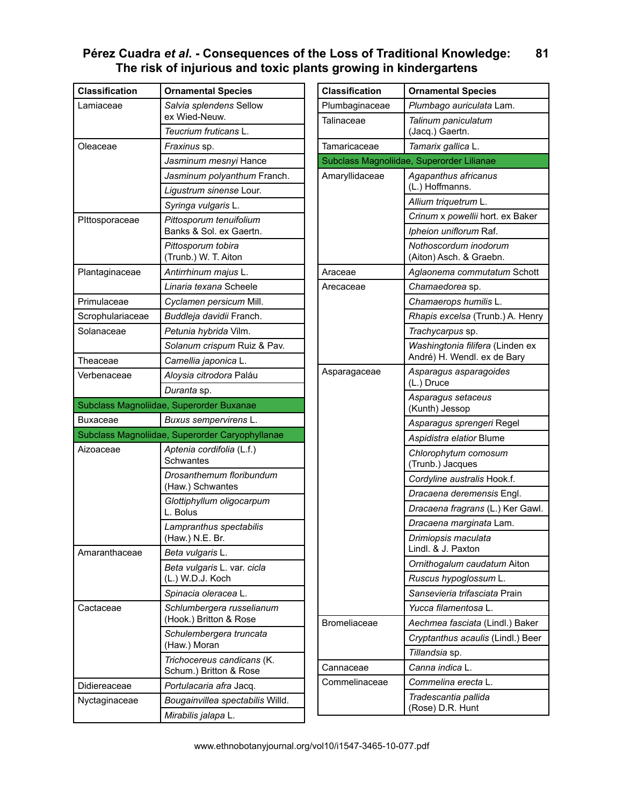| <b>Classification</b> | <b>Ornamental Species</b>                            |
|-----------------------|------------------------------------------------------|
| Lamiaceae             | Salvia splendens Sellow<br>ex Wied-Neuw.             |
|                       | Teucrium fruticans L.                                |
| Oleaceae              | Fraxinus sp.                                         |
|                       | Jasminum mesnyi Hance                                |
|                       | Jasminum polyanthum Franch.                          |
|                       | Ligustrum sinense Lour.                              |
|                       | Syringa vulgaris L.                                  |
| Pittosporaceae        | Pittosporum tenuifolium<br>Banks & Sol. ex Gaertn.   |
|                       | Pittosporum tobira<br>(Trunb.) W. T. Aiton           |
| Plantaginaceae        | Antirrhinum majus L.                                 |
|                       | Linaria texana Scheele                               |
| Primulaceae           | Cyclamen persicum Mill.                              |
| Scrophulariaceae      | Buddleja davidii Franch.                             |
| Solanaceae            | Petunia hybrida Vilm.                                |
|                       | Solanum crispum Ruiz & Pav.                          |
| Theaceae              | Camellia japonica L.                                 |
| Verbenaceae           | Aloysia citrodora Paláu                              |
|                       | Duranta sp.                                          |
|                       |                                                      |
|                       | Subclass Magnoliidae, Superorder Buxanae             |
| Buxaceae              | Buxus sempervirens L.                                |
|                       | Subclass Magnoliidae, Superorder Caryophyllanae      |
| Aizoaceae             | Aptenia cordifolia (L.f.)<br>Schwantes               |
|                       | Drosanthemum floribundum<br>(Haw.) Schwantes         |
|                       | Glottiphyllum oligocarpum<br>L. Bolus                |
|                       | Lampranthus spectabilis<br>(Haw.) N.E. Br.           |
| Amaranthaceae         | Beta vulgaris L.                                     |
|                       | Beta vulgaris L. var. cicla<br>(L.) W.D.J. Koch      |
|                       | Spinacia oleracea L.                                 |
| Cactaceae             | Schlumbergera russelianum<br>(Hook.) Britton & Rose  |
|                       | Schulembergera truncata<br>(Haw.) Moran              |
|                       | Trichocereus candicans (K.<br>Schum.) Britton & Rose |
| Didiereaceae          | Portulacaria afra Jacq.                              |
| Nyctaginaceae         | Bougainvillea spectabilis Willd.                     |

| <b>Classification</b> | <b>Ornamental Species</b>                                       |
|-----------------------|-----------------------------------------------------------------|
| Plumbaginaceae        | Plumbago auriculata Lam.                                        |
| Talinaceae            | Talinum paniculatum<br>(Jacq.) Gaertn.                          |
| Tamaricaceae          | Tamarix gallica L.                                              |
|                       | Subclass Magnoliidae, Superorder Lilianae                       |
| Amaryllidaceae        | Agapanthus africanus<br>(L.) Hoffmanns.                         |
|                       | Allium triquetrum L.                                            |
|                       | Crinum x powellii hort. ex Baker                                |
|                       | Ipheion uniflorum Raf.                                          |
|                       | Nothoscordum inodorum<br>(Aiton) Asch. & Graebn.                |
| Araceae               | Aglaonema commutatum Schott                                     |
| Arecaceae             | Chamaedorea sp.                                                 |
|                       | Chamaerops humilis L.                                           |
|                       | Rhapis excelsa (Trunb.) A. Henry                                |
|                       | Trachycarpus sp.                                                |
|                       | Washingtonia filifera (Linden ex<br>André) H. Wendl. ex de Bary |
| Asparagaceae          | Asparagus asparagoides<br>(L.) Druce                            |
|                       | Asparagus setaceus<br>(Kunth) Jessop                            |
|                       | Asparagus sprengeri Regel                                       |
|                       | Aspidistra elatior Blume                                        |
|                       | Chlorophytum comosum<br>(Trunb.) Jacques                        |
|                       | Cordyline australis Hook.f.                                     |
|                       | Dracaena deremensis Engl.                                       |
|                       | Dracaena fragrans (L.) Ker Gawl.                                |
|                       | Dracaena marginata Lam.                                         |
|                       | Drimiopsis maculata<br>Lindl. & J. Paxton                       |
|                       | Ornithogalum caudatum Aiton                                     |
|                       | Ruscus hypoglossum L.                                           |
|                       | Sansevieria trifasciata Prain                                   |
|                       | Yucca filamentosa L.                                            |
| <b>Bromeliaceae</b>   | Aechmea fasciata (Lindl.) Baker                                 |
|                       | Cryptanthus acaulis (Lindl.) Beer                               |
|                       | Tillandsia sp.                                                  |
| Cannaceae             | Canna indica L.                                                 |
| Commelinaceae         | Commelina erecta L.                                             |
|                       | Tradescantia pallida<br>(Rose) D.R. Hunt                        |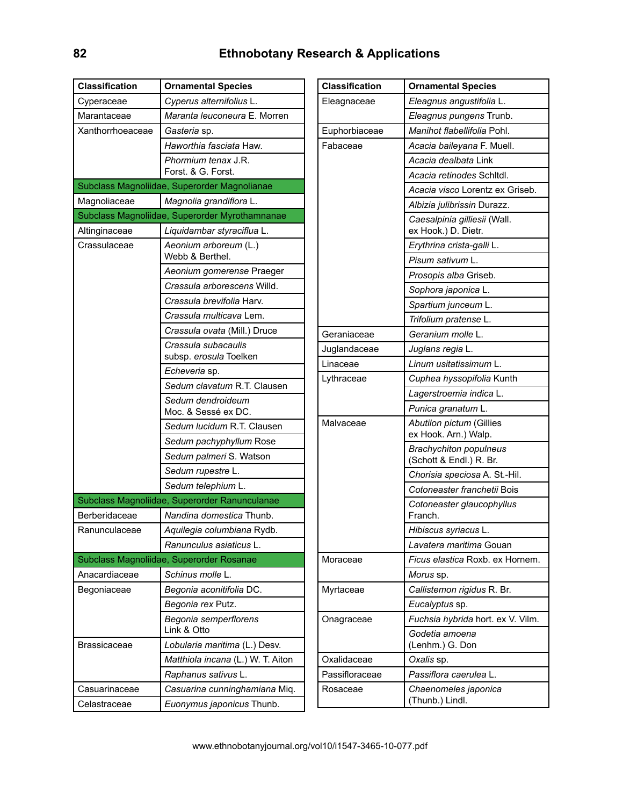| <b>Classification</b> | <b>Ornamental Species</b>                      |
|-----------------------|------------------------------------------------|
| Cyperaceae            | Cyperus alternifolius L.                       |
| Marantaceae           | Maranta leuconeura E. Morren                   |
| Xanthorrhoeaceae      | <i>Gasteria</i> sp.                            |
|                       | Haworthia fasciata Haw.                        |
|                       | Phormium tenax J.R.<br>Forst. & G. Forst.      |
|                       | Subclass Magnoliidae, Superorder Magnolianae   |
| Magnoliaceae          | Magnolia grandiflora L.                        |
|                       | Subclass Magnoliidae, Superorder Myrothamnanae |
| Altinginaceae         | Liquidambar styraciflua L.                     |
| Crassulaceae          | Aeonium arboreum (L.)<br>Webb & Berthel.       |
|                       | Aeonium gomerense Praeger                      |
|                       | Crassula arborescens Willd.                    |
|                       | Crassula brevifolia Harv.                      |
|                       | Crassula multicava Lem.                        |
|                       | Crassula ovata (Mill.) Druce                   |
|                       | Crassula subacaulis<br>subsp. erosula Toelken  |
|                       | Echeveria sp.                                  |
|                       | Sedum clavatum R.T. Clausen                    |
|                       | Sedum dendroideum<br>Moc. & Sessé ex DC.       |
|                       | Sedum lucidum R.T. Clausen                     |
|                       | Sedum pachyphyllum Rose                        |
|                       | Sedum palmeri S. Watson                        |
|                       | Sedum rupestre L.                              |
|                       | Sedum telephium L.                             |
|                       | Subclass Magnoliidae, Superorder Ranunculanae  |
| Berberidaceae         | Nandina domestica Thunb.                       |
| Ranunculaceae         | Aquilegia columbiana Rydb.                     |
|                       | Ranunculus asiaticus L.                        |
|                       | Subclass Magnoliidae, Superorder Rosanae       |
| Anacardiaceae         | Schinus molle L.                               |
| Begoniaceae           | Begonia aconitifolia DC.                       |
|                       | Begonia rex Putz.                              |
|                       | Begonia semperflorens<br>Link & Otto           |
| Brassicaceae          | Lobularia maritima (L.) Desv.                  |
|                       | Matthiola incana (L.) W. T. Aiton              |
|                       | Raphanus sativus L.                            |
| Casuarinaceae         | Casuarina cunninghamiana Miq.                  |
| Celastraceae          | Euonymus japonicus Thunb.                      |

| <b>Classification</b> | <b>Ornamental Species</b>                                |
|-----------------------|----------------------------------------------------------|
| Eleagnaceae           | Eleagnus angustifolia L.                                 |
|                       | Eleagnus pungens Trunb.                                  |
| Euphorbiaceae         | Manihot flabellifolia Pohl.                              |
| Fabaceae              | Acacia baileyana F. Muell.                               |
|                       | <i>Acacia dealbata</i> Link                              |
|                       | Acacia retinodes Schitdl.                                |
|                       | Acacia visco Lorentz ex Griseb.                          |
|                       | Albizia julibrissin Durazz.                              |
|                       | Caesalpinia gilliesii (Wall.<br>ex Hook.) D. Dietr.      |
|                       | Erythrina crista-galli L.                                |
|                       | Pisum sativum L.                                         |
|                       | Prosopis alba Griseb.                                    |
|                       | Sophora japonica L.                                      |
|                       | Spartium junceum L.                                      |
|                       | Trifolium pratense L.                                    |
| Geraniaceae           | Geranium molle L.                                        |
| Juglandaceae          | Juglans regia L.                                         |
| Linaceae              | Linum usitatissimum L.                                   |
| Lythraceae            | Cuphea hyssopifolia Kunth                                |
|                       | Lagerstroemia indica L.                                  |
|                       | Punica granatum L.                                       |
| Malvaceae             | Abutilon pictum (Gillies<br>ex Hook. Arn.) Walp.         |
|                       | <b>Brachychiton populneus</b><br>(Schott & Endl.) R. Br. |
|                       | Chorisia speciosa A. St.-Hil.                            |
|                       | Cotoneaster franchetii Bois                              |
|                       | Cotoneaster glaucophyllus<br>Franch.                     |
|                       | Hibiscus syriacus L.                                     |
|                       | Lavatera maritima Gouan                                  |
| Moraceae              | Ficus elastica Roxb, ex Hornem.                          |
|                       | Morus sp.                                                |
| Myrtaceae             | Callistemon rigidus R. Br.                               |
|                       | Eucalyptus sp.                                           |
| Onagraceae            | Fuchsia hybrida hort. ex V. Vilm.                        |
|                       | Godetia amoena<br>(Lenhm.) G. Don                        |
| Oxalidaceae           | Oxalis sp.                                               |
| Passifloraceae        | Passiflora caerulea L.                                   |
| Rosaceae              | Chaenomeles japonica<br>(Thunb.) Lindl.                  |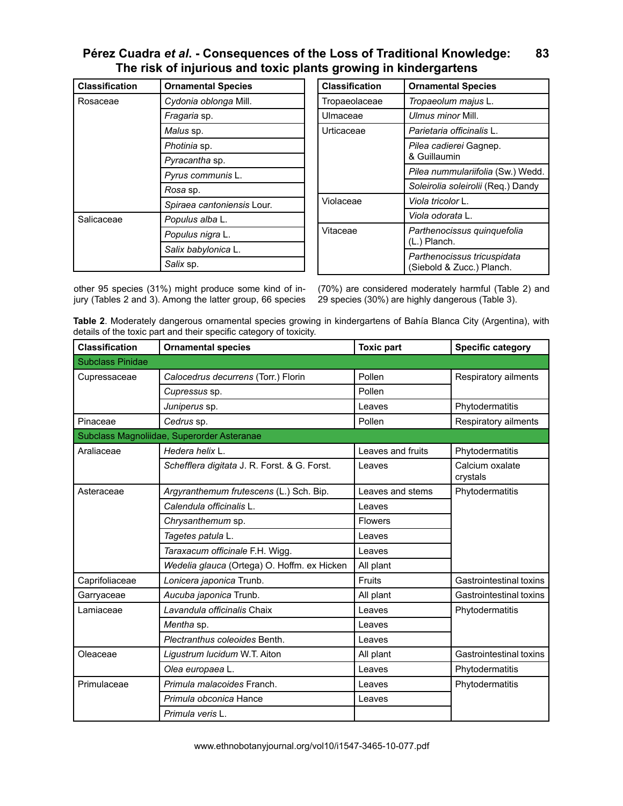| <b>Classification</b> | <b>Ornamental Species</b>  |
|-----------------------|----------------------------|
| Rosaceae              | Cydonia oblonga Mill.      |
|                       | Fragaria sp.               |
|                       | Malus sp.                  |
|                       | Photinia sp.               |
|                       | Pyracantha sp.             |
|                       | Pyrus communis L.          |
|                       | <i>Rosa</i> sp.            |
|                       | Spiraea cantoniensis Lour. |
| Salicaceae            | Populus alba L.            |
|                       | Populus nigra L.           |
|                       | Salix babylonica L.        |
|                       | Salix sp.                  |

| <b>Classification</b> | <b>Ornamental Species</b>                                |
|-----------------------|----------------------------------------------------------|
| Tropaeolaceae         | Tropaeolum majus L.                                      |
| Ulmaceae              | Ulmus minor Mill.                                        |
| Urticaceae            | Parietaria officinalis L.                                |
|                       | <i>Pilea cadierei</i> Gagnep.<br>& Guillaumin            |
|                       | Pilea nummulariifolia (Sw.) Wedd.                        |
|                       | Soleirolia soleirolii (Req.) Dandy                       |
| Violaceae             | Viola tricolor L.                                        |
|                       | Viola odorata L.                                         |
| Vitaceae              | Parthenocissus quinquefolia<br>(L.) Planch.              |
|                       | Parthenocissus tricuspidata<br>(Siebold & Zucc.) Planch. |

other 95 species (31%) might produce some kind of injury (Tables 2 and 3). Among the latter group, 66 species

(70%) are considered moderately harmful (Table 2) and 29 species (30%) are highly dangerous (Table 3).

**Table 2**. Moderately dangerous ornamental species growing in kindergartens of Bahía Blanca City (Argentina), with details of the toxic part and their specific category of toxicity.

| <b>Classification</b>   | <b>Ornamental species</b>                    | <b>Toxic part</b> | <b>Specific category</b>    |
|-------------------------|----------------------------------------------|-------------------|-----------------------------|
| <b>Subclass Pinidae</b> |                                              |                   |                             |
| Cupressaceae            | Calocedrus decurrens (Torr.) Florin          | Pollen            | Respiratory ailments        |
|                         | Cupressus sp.                                | Pollen            |                             |
|                         | Juniperus sp.                                | Leaves            | Phytodermatitis             |
| Pinaceae                | Cedrus sp.                                   | Pollen            | Respiratory ailments        |
|                         | Subclass Magnoliidae, Superorder Asteranae   |                   |                             |
| Araliaceae              | Hedera helix L.                              | Leaves and fruits | Phytodermatitis             |
|                         | Schefflera digitata J. R. Forst. & G. Forst. | Leaves            | Calcium oxalate<br>crystals |
| Asteraceae              | Argyranthemum frutescens (L.) Sch. Bip.      | Leaves and stems  | Phytodermatitis             |
|                         | Calendula officinalis L.                     | Leaves            |                             |
|                         | Chrysanthemum sp.                            | <b>Flowers</b>    |                             |
|                         | Tagetes patula L.                            | Leaves            |                             |
|                         | Taraxacum officinale F.H. Wigg.              | Leaves            |                             |
|                         | Wedelia glauca (Ortega) O. Hoffm. ex Hicken  | All plant         |                             |
| Caprifoliaceae          | Lonicera japonica Trunb.                     | Fruits            | Gastrointestinal toxins     |
| Garryaceae              | Aucuba japonica Trunb.                       | All plant         | Gastrointestinal toxins     |
| Lamiaceae               | Lavandula officinalis Chaix                  | Leaves            | Phytodermatitis             |
|                         | Mentha sp.                                   | Leaves            |                             |
|                         | Plectranthus coleoides Benth.                | Leaves            |                             |
| Oleaceae                | Ligustrum lucidum W.T. Aiton                 | All plant         | Gastrointestinal toxins     |
|                         | Olea europaea L.                             | Leaves            | Phytodermatitis             |
| Primulaceae             | Primula malacoides Franch.                   | Leaves            | Phytodermatitis             |
|                         | Primula obconica Hance                       | Leaves            |                             |
|                         | Primula veris L.                             |                   |                             |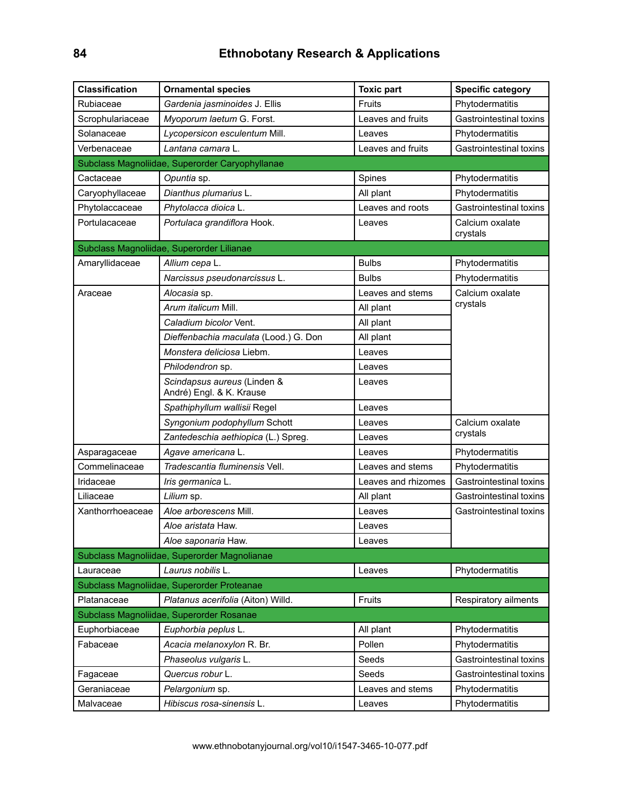| <b>Classification</b> | <b>Ornamental species</b>                               | <b>Toxic part</b>   | <b>Specific category</b>    |
|-----------------------|---------------------------------------------------------|---------------------|-----------------------------|
| Rubiaceae             | Gardenia jasminoides J. Ellis                           | Fruits              | Phytodermatitis             |
| Scrophulariaceae      | Myoporum laetum G. Forst.                               | Leaves and fruits   | Gastrointestinal toxins     |
| Solanaceae            | Lycopersicon esculentum Mill.                           | Leaves              | Phytodermatitis             |
| Verbenaceae           | Lantana camara L.                                       | Leaves and fruits   | Gastrointestinal toxins     |
|                       | Subclass Magnoliidae, Superorder Caryophyllanae         |                     |                             |
| Cactaceae             | Opuntia sp.                                             | Spines              | Phytodermatitis             |
| Caryophyllaceae       | Dianthus plumarius L.                                   | All plant           | Phytodermatitis             |
| Phytolaccaceae        | Phytolacca dioica L.                                    | Leaves and roots    | Gastrointestinal toxins     |
| Portulacaceae         | Portulaca grandiflora Hook.                             | Leaves              | Calcium oxalate<br>crystals |
|                       | Subclass Magnoliidae, Superorder Lilianae               |                     |                             |
| Amaryllidaceae        | Allium cepa L.                                          | <b>Bulbs</b>        | Phytodermatitis             |
|                       | Narcissus pseudonarcissus L.                            | <b>Bulbs</b>        | Phytodermatitis             |
| Araceae               | Alocasia sp.                                            | Leaves and stems    | Calcium oxalate             |
|                       | Arum italicum Mill.                                     | All plant           | crystals                    |
|                       | Caladium bicolor Vent.                                  | All plant           |                             |
|                       | Dieffenbachia maculata (Lood.) G. Don                   | All plant           |                             |
|                       | Monstera deliciosa Liebm.                               | Leaves              |                             |
|                       | Philodendron sp.                                        | Leaves              |                             |
|                       | Scindapsus aureus (Linden &<br>André) Engl. & K. Krause | Leaves              |                             |
|                       | Spathiphyllum wallisii Regel                            | Leaves              |                             |
|                       | Syngonium podophyllum Schott                            | Leaves              | Calcium oxalate             |
|                       | Zantedeschia aethiopica (L.) Spreg.                     | Leaves              | crystals                    |
| Asparagaceae          | Agave americana L.                                      | Leaves              | Phytodermatitis             |
| Commelinaceae         | Tradescantia fluminensis Vell.                          | Leaves and stems    | Phytodermatitis             |
| Iridaceae             | Iris germanica L.                                       | Leaves and rhizomes | Gastrointestinal toxins     |
| Liliaceae             | Lilium sp.                                              | All plant           | Gastrointestinal toxins     |
| Xanthorrhoeaceae      | Aloe arborescens Mill.                                  | Leaves              | Gastrointestinal toxins     |
|                       | Aloe aristata Haw.                                      | Leaves              |                             |
|                       | Aloe saponaria Haw.                                     | Leaves              |                             |
|                       | Subclass Magnoliidae, Superorder Magnolianae            |                     |                             |
| Lauraceae             | Laurus nobilis L.                                       | Leaves              | Phytodermatitis             |
|                       | Subclass Magnoliidae, Superorder Proteanae              |                     |                             |
| Platanaceae           | Platanus acerifolia (Aiton) Willd.                      | Fruits              | Respiratory ailments        |
|                       | Subclass Magnoliidae, Superorder Rosanae                |                     |                             |
| Euphorbiaceae         | Euphorbia peplus L.                                     | All plant           | Phytodermatitis             |
| Fabaceae              | Acacia melanoxylon R. Br.                               | Pollen              | Phytodermatitis             |
|                       | Phaseolus vulgaris L.                                   | Seeds               | Gastrointestinal toxins     |
| Fagaceae              | Quercus robur L.                                        | Seeds               | Gastrointestinal toxins     |
| Geraniaceae           | Pelargonium sp.                                         | Leaves and stems    | Phytodermatitis             |
| Malvaceae             | Hibiscus rosa-sinensis L.                               | Leaves              | Phytodermatitis             |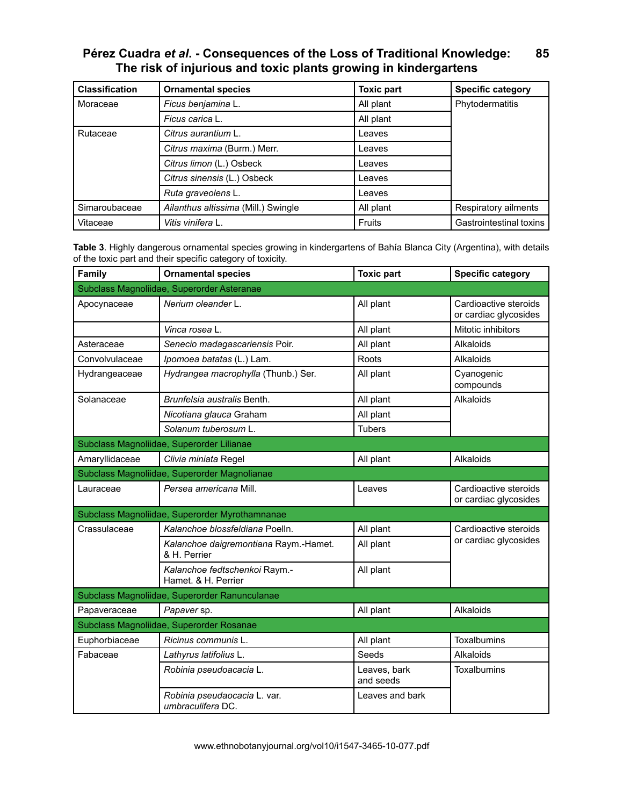| <b>Classification</b> | <b>Ornamental species</b>           | <b>Toxic part</b> | <b>Specific category</b> |
|-----------------------|-------------------------------------|-------------------|--------------------------|
| Moraceae              | Ficus benjamina L.                  | All plant         | Phytodermatitis          |
|                       | Ficus carica L.                     | All plant         |                          |
| Rutaceae              | Citrus aurantium L.                 | Leaves            |                          |
|                       | Citrus maxima (Burm.) Merr.         | Leaves            |                          |
|                       | Citrus limon (L.) Osbeck            | Leaves            |                          |
|                       | Citrus sinensis (L.) Osbeck         | Leaves            |                          |
|                       | Ruta graveolens L.                  | Leaves            |                          |
| Simaroubaceae         | Ailanthus altissima (Mill.) Swingle | All plant         | Respiratory ailments     |
| Vitaceae              | Vitis vinifera L.                   | <b>Fruits</b>     | Gastrointestinal toxins  |

**Table 3**. Highly dangerous ornamental species growing in kindergartens of Bahía Blanca City (Argentina), with details of the toxic part and their specific category of toxicity.

| Family                                     | <b>Ornamental species</b>                             | <b>Toxic part</b>         | <b>Specific category</b>                       |  |
|--------------------------------------------|-------------------------------------------------------|---------------------------|------------------------------------------------|--|
| Subclass Magnoliidae, Superorder Asteranae |                                                       |                           |                                                |  |
| Apocynaceae                                | Nerium oleander L.                                    | All plant                 | Cardioactive steroids<br>or cardiac glycosides |  |
|                                            | Vinca rosea L.                                        | All plant                 | Mitotic inhibitors                             |  |
| Asteraceae                                 | Senecio madagascariensis Poir.                        | All plant                 | Alkaloids                                      |  |
| Convolvulaceae                             | Ipomoea batatas (L.) Lam.                             | Roots                     | Alkaloids                                      |  |
| Hydrangeaceae                              | Hydrangea macrophylla (Thunb.) Ser.                   | All plant                 | Cyanogenic<br>compounds                        |  |
| Solanaceae                                 | Brunfelsia australis Benth.                           | All plant                 | Alkaloids                                      |  |
|                                            | Nicotiana glauca Graham                               | All plant                 |                                                |  |
|                                            | Solanum tuberosum L.                                  | <b>Tubers</b>             |                                                |  |
|                                            | Subclass Magnoliidae, Superorder Lilianae             |                           |                                                |  |
| Amaryllidaceae                             | Clivia miniata Regel                                  | All plant                 | Alkaloids                                      |  |
|                                            | Subclass Magnoliidae, Superorder Magnolianae          |                           |                                                |  |
| Lauraceae                                  | Persea americana Mill.                                | Leaves                    | Cardioactive steroids<br>or cardiac glycosides |  |
|                                            | Subclass Magnoliidae, Superorder Myrothamnanae        |                           |                                                |  |
| Crassulaceae                               | Kalanchoe blossfeldiana Poelln.                       | All plant                 | Cardioactive steroids                          |  |
|                                            | Kalanchoe daigremontiana Raym.-Hamet.<br>& H. Perrier | All plant                 | or cardiac glycosides                          |  |
|                                            | Kalanchoe fedtschenkoi Raym.-<br>Hamet. & H. Perrier  | All plant                 |                                                |  |
|                                            | Subclass Magnoliidae, Superorder Ranunculanae         |                           |                                                |  |
| Papaveraceae                               | Papaver sp.                                           | All plant                 | Alkaloids                                      |  |
| Subclass Magnoliidae, Superorder Rosanae   |                                                       |                           |                                                |  |
| Euphorbiaceae                              | Ricinus communis L.                                   | All plant                 | Toxalbumins                                    |  |
| Fabaceae                                   | Lathyrus latifolius L.                                | Seeds                     | Alkaloids                                      |  |
|                                            | Robinia pseudoacacia L.                               | Leaves, bark<br>and seeds | Toxalbumins                                    |  |
|                                            | Robinia pseudaocacia L. var.<br>umbraculifera DC.     | Leaves and bark           |                                                |  |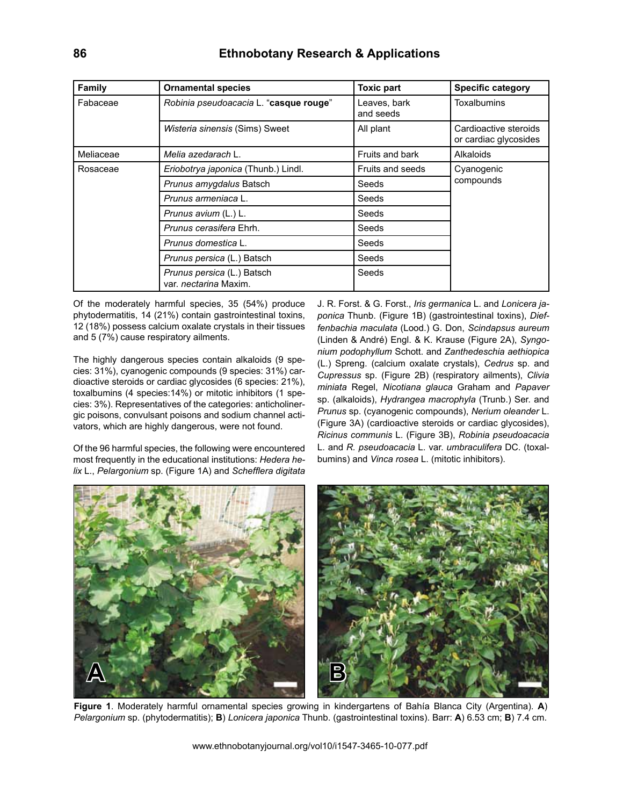| Family    | <b>Ornamental species</b>                                  | <b>Toxic part</b>         | <b>Specific category</b>                       |  |
|-----------|------------------------------------------------------------|---------------------------|------------------------------------------------|--|
| Fabaceae  | Robinia pseudoacacia L. "casque rouge"                     | Leaves, bark<br>and seeds | Toxalbumins                                    |  |
|           | Wisteria sinensis (Sims) Sweet                             | All plant                 | Cardioactive steroids<br>or cardiac glycosides |  |
| Meliaceae | Melia azedarach L.                                         | Fruits and bark           | Alkaloids                                      |  |
| Rosaceae  | Eriobotrya japonica (Thunb.) Lindl.                        | <b>Fruits and seeds</b>   | Cyanogenic                                     |  |
|           | Prunus amygdalus Batsch                                    | Seeds                     | compounds                                      |  |
|           | Prunus armeniaca L.                                        | Seeds                     |                                                |  |
|           | Prunus avium (L.) L.                                       | Seeds                     |                                                |  |
|           | <i>Prunus cerasifera</i> Ehrh.                             | Seeds                     |                                                |  |
|           | Prunus domestica L.                                        | Seeds                     |                                                |  |
|           | Prunus persica (L.) Batsch                                 | Seeds                     |                                                |  |
|           | Prunus persica (L.) Batsch<br>var. <i>nectarina</i> Maxim. | Seeds                     |                                                |  |

Of the moderately harmful species, 35 (54%) produce phytodermatitis, 14 (21%) contain gastrointestinal toxins, 12 (18%) possess calcium oxalate crystals in their tissues and 5 (7%) cause respiratory ailments.

The highly dangerous species contain alkaloids (9 species: 31%), cyanogenic compounds (9 species: 31%) cardioactive steroids or cardiac glycosides (6 species: 21%), toxalbumins (4 species:14%) or mitotic inhibitors (1 species: 3%). Representatives of the categories: anticholinergic poisons, convulsant poisons and sodium channel activators, which are highly dangerous, were not found.

Of the 96 harmful species, the following were encountered most frequently in the educational institutions: *Hedera helix* L., *Pelargonium* sp. (Figure 1A) and *Schefflera digitata*  J. R. Forst. & G. Forst., *Iris germanica* L. and *Lonicera japonica* Thunb. (Figure 1B) (gastrointestinal toxins), *Dieffenbachia maculata* (Lood.) G. Don, *Scindapsus aureum*  (Linden & André) Engl. & K. Krause (Figure 2A), *Syngonium podophyllum* Schott. and *Zanthedeschia aethiopica* (L.) Spreng. (calcium oxalate crystals), *Cedrus* sp. and *Cupressus* sp. (Figure 2B) (respiratory ailments), *Clivia miniata* Regel, *Nicotiana glauca* Graham and *Papaver* sp. (alkaloids), *Hydrangea macrophyla* (Trunb.) Ser. and *Prunus* sp. (cyanogenic compounds), *Nerium oleander* L. (Figure 3A) (cardioactive steroids or cardiac glycosides), *Ricinus communis* L. (Figure 3B), *Robinia pseudoacacia* L. and *R. pseudoacacia* L. var. *umbraculifera* DC. (toxalbumins) and *Vinca rosea* L. (mitotic inhibitors).



**Figure 1**. Moderately harmful ornamental species growing in kindergartens of Bahía Blanca City (Argentina). **A**) *Pelargonium* sp. (phytodermatitis); **B**) *Lonicera japonica* Thunb. (gastrointestinal toxins). Barr: **A**) 6.53 cm; **B**) 7.4 cm.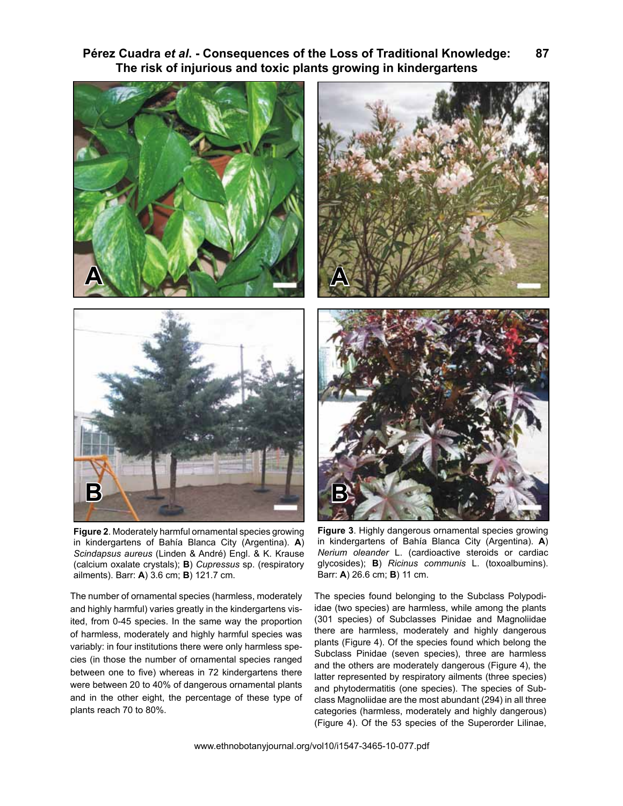



**Figure 2**. Moderately harmful ornamental species growing in kindergartens of Bahía Blanca City (Argentina). **A**) *Scindapsus aureus* (Linden & André) Engl. & K. Krause (calcium oxalate crystals); **B**) *Cupressus* sp. (respiratory ailments). Barr: **A**) 3.6 cm; **B**) 121.7 cm.

The number of ornamental species (harmless, moderately and highly harmful) varies greatly in the kindergartens visited, from 0-45 species. In the same way the proportion of harmless, moderately and highly harmful species was variably: in four institutions there were only harmless species (in those the number of ornamental species ranged between one to five) whereas in 72 kindergartens there were between 20 to 40% of dangerous ornamental plants and in the other eight, the percentage of these type of plants reach 70 to 80%.



**Figure 3**. Highly dangerous ornamental species growing in kindergartens of Bahía Blanca City (Argentina). **A**) *Nerium oleander* L. (cardioactive steroids or cardiac glycosides); **B**) *Ricinus communis* L. (toxoalbumins). Barr: **A**) 26.6 cm; **B**) 11 cm.

The species found belonging to the Subclass Polypodiidae (two species) are harmless, while among the plants (301 species) of Subclasses Pinidae and Magnoliidae there are harmless, moderately and highly dangerous plants (Figure 4). Of the species found which belong the Subclass Pinidae (seven species), three are harmless and the others are moderately dangerous (Figure 4), the latter represented by respiratory ailments (three species) and phytodermatitis (one species). The species of Subclass Magnoliidae are the most abundant (294) in all three categories (harmless, moderately and highly dangerous) (Figure 4). Of the 53 species of the Superorder Lilinae,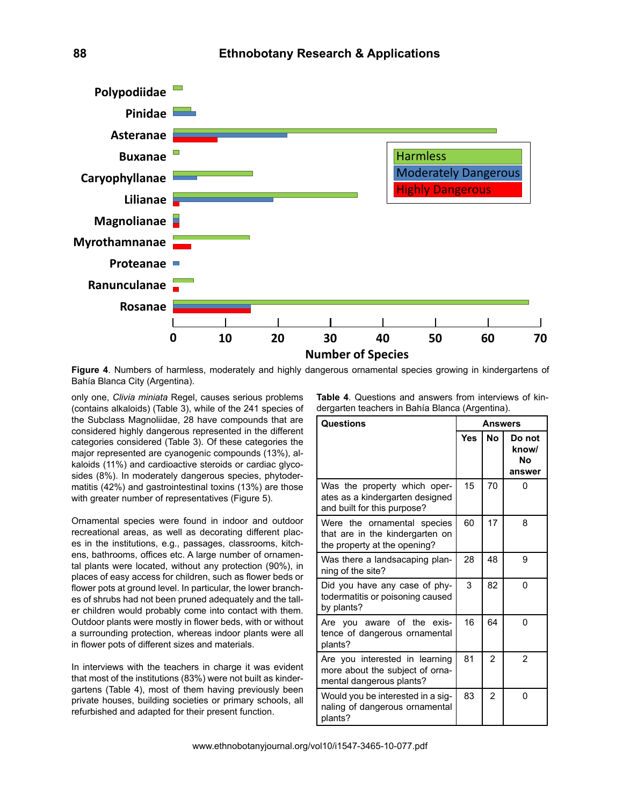

**Figure 4**. Numbers of harmless, moderately and highly dangerous ornamental species growing in kindergartens of Bahía Blanca City (Argentina).

only one, *Clivia miniata* Regel, causes serious problems (contains alkaloids) (Table 3), while of the 241 species of the Subclass Magnoliidae, 28 have compounds that are considered highly dangerous represented in the different categories considered (Table 3). Of these categories the major represented are cyanogenic compounds (13%), alkaloids (11%) and cardioactive steroids or cardiac glycosides (8%). In moderately dangerous species, phytodermatitis (42%) and gastrointestinal toxins (13%) are those with greater number of representatives (Figure 5).

Ornamental species were found in indoor and outdoor recreational areas, as well as decorating different places in the institutions, e.g., passages, classrooms, kitchens, bathrooms, offices etc. A large number of ornamental plants were located, without any protection (90%), in places of easy access for children, such as flower beds or flower pots at ground level. In particular, the lower branches of shrubs had not been pruned adequately and the taller children would probably come into contact with them. Outdoor plants were mostly in flower beds, with or without a surrounding protection, whereas indoor plants were all in flower pots of different sizes and materials.

In interviews with the teachers in charge it was evident that most of the institutions (83%) were not built as kindergartens (Table 4), most of them having previously been private houses, building societies or primary schools, all refurbished and adapted for their present function.

| <b>Table 4.</b> Questions and answers from interviews of kin- |  |  |  |
|---------------------------------------------------------------|--|--|--|
| dergarten teachers in Bahía Blanca (Argentina).               |  |  |  |

| Questions                                                                                      | <b>Answers</b> |                |                                 |  |
|------------------------------------------------------------------------------------------------|----------------|----------------|---------------------------------|--|
|                                                                                                | Yes            | <b>No</b>      | Do not<br>know/<br>Nο<br>answer |  |
| Was the property which oper-<br>ates as a kindergarten designed<br>and built for this purpose? | 15             | 70             | 0                               |  |
| Were the ornamental species<br>that are in the kindergarten on<br>the property at the opening? | 60             | 17             | 8                               |  |
| Was there a landsacaping plan-<br>ning of the site?                                            | 28             | 48             | 9                               |  |
| Did you have any case of phy-<br>todermatitis or poisoning caused<br>by plants?                | 3              | 82             | 0                               |  |
| Are you aware of the exis-<br>tence of dangerous ornamental<br>plants?                         | 16             | 64             | 0                               |  |
| Are you interested in learning<br>more about the subject of orna-<br>mental dangerous plants?  | 81             | $\overline{2}$ | $\overline{2}$                  |  |
| Would you be interested in a sig-<br>naling of dangerous ornamental<br>plants?                 | 83             | $\overline{2}$ | <sup>0</sup>                    |  |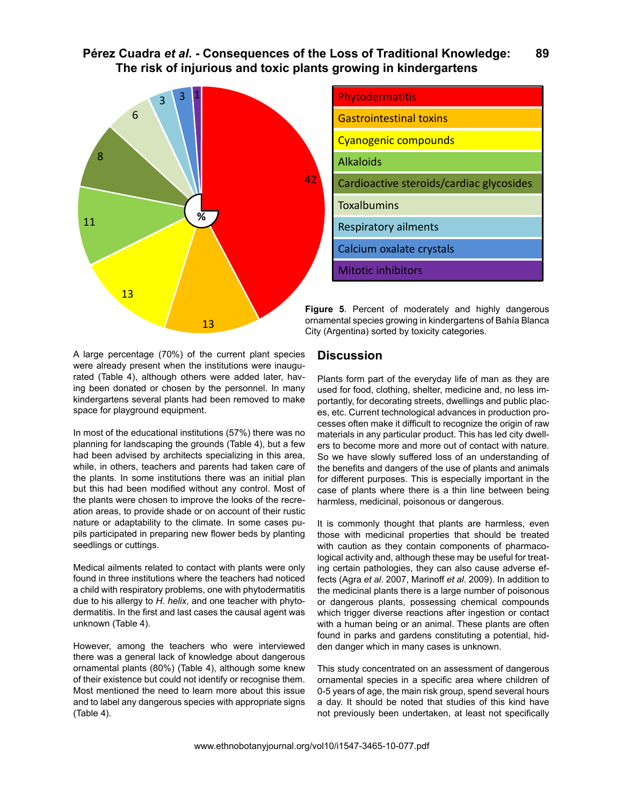

| Phytodermatitis                          |
|------------------------------------------|
| <b>Gastrointestinal toxins</b>           |
| <b>Cyanogenic compounds</b>              |
| <b>Alkaloids</b>                         |
| Cardioactive steroids/cardiac glycosides |
| <b>Toxalbumins</b>                       |
| Respiratory ailments                     |
| Calcium oxalate crystals                 |
| <b>Mitotic inhibitors</b>                |

**Figure 5**. Percent of moderately and highly dangerous ornamental species growing in kindergartens of Bahía Blanca City (Argentina) sorted by toxicity categories.

A large percentage (70%) of the current plant species were already present when the institutions were inaugurated (Table 4), although others were added later, having been donated or chosen by the personnel. In many kindergartens several plants had been removed to make space for playground equipment.

In most of the educational institutions (57%) there was no planning for landscaping the grounds (Table 4), but a few had been advised by architects specializing in this area, while, in others, teachers and parents had taken care of the plants. In some institutions there was an initial plan but this had been modified without any control. Most of the plants were chosen to improve the looks of the recreation areas, to provide shade or on account of their rustic nature or adaptability to the climate. In some cases pupils participated in preparing new flower beds by planting seedlings or cuttings.

Medical ailments related to contact with plants were only found in three institutions where the teachers had noticed a child with respiratory problems, one with phytodermatitis due to his allergy to *H. helix*, and one teacher with phytodermatitis. In the first and last cases the causal agent was unknown (Table 4).

However, among the teachers who were interviewed there was a general lack of knowledge about dangerous ornamental plants (80%) (Table 4), although some knew of their existence but could not identify or recognise them. Most mentioned the need to learn more about this issue and to label any dangerous species with appropriate signs (Table 4).

## **Discussion**

Plants form part of the everyday life of man as they are used for food, clothing, shelter, medicine and, no less importantly, for decorating streets, dwellings and public places, etc. Current technological advances in production processes often make it difficult to recognize the origin of raw materials in any particular product. This has led city dwellers to become more and more out of contact with nature. So we have slowly suffered loss of an understanding of the benefits and dangers of the use of plants and animals for different purposes. This is especially important in the case of plants where there is a thin line between being harmless, medicinal, poisonous or dangerous.

It is commonly thought that plants are harmless, even those with medicinal properties that should be treated with caution as they contain components of pharmacological activity and, although these may be useful for treating certain pathologies, they can also cause adverse effects (Agra *et al*. 2007, Marinoff *et al*. 2009). In addition to the medicinal plants there is a large number of poisonous or dangerous plants, possessing chemical compounds which trigger diverse reactions after ingestion or contact with a human being or an animal. These plants are often found in parks and gardens constituting a potential, hidden danger which in many cases is unknown.

This study concentrated on an assessment of dangerous ornamental species in a specific area where children of 0-5 years of age, the main risk group, spend several hours a day. It should be noted that studies of this kind have not previously been undertaken, at least not specifically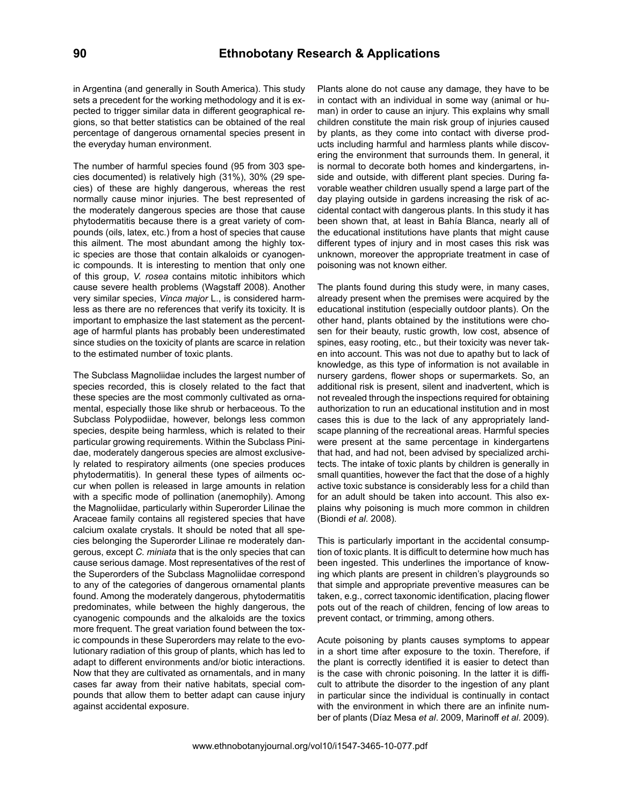in Argentina (and generally in South America). This study sets a precedent for the working methodology and it is expected to trigger similar data in different geographical regions, so that better statistics can be obtained of the real percentage of dangerous ornamental species present in the everyday human environment.

The number of harmful species found (95 from 303 species documented) is relatively high (31%), 30% (29 species) of these are highly dangerous, whereas the rest normally cause minor injuries. The best represented of the moderately dangerous species are those that cause phytodermatitis because there is a great variety of compounds (oils, latex, etc.) from a host of species that cause this ailment. The most abundant among the highly toxic species are those that contain alkaloids or cyanogenic compounds. It is interesting to mention that only one of this group, *V. rosea* contains mitotic inhibitors which cause severe health problems (Wagstaff 2008). Another very similar species, *Vinca major* L., is considered harmless as there are no references that verify its toxicity. It is important to emphasize the last statement as the percentage of harmful plants has probably been underestimated since studies on the toxicity of plants are scarce in relation to the estimated number of toxic plants.

The Subclass Magnoliidae includes the largest number of species recorded, this is closely related to the fact that these species are the most commonly cultivated as ornamental, especially those like shrub or herbaceous. To the Subclass Polypodiidae, however, belongs less common species, despite being harmless, which is related to their particular growing requirements. Within the Subclass Pinidae, moderately dangerous species are almost exclusively related to respiratory ailments (one species produces phytodermatitis). In general these types of ailments occur when pollen is released in large amounts in relation with a specific mode of pollination (anemophily). Among the Magnoliidae, particularly within Superorder Lilinae the Araceae family contains all registered species that have calcium oxalate crystals. It should be noted that all species belonging the Superorder Lilinae re moderately dangerous, except *C. miniata* that is the only species that can cause serious damage. Most representatives of the rest of the Superorders of the Subclass Magnoliidae correspond to any of the categories of dangerous ornamental plants found. Among the moderately dangerous, phytodermatitis predominates, while between the highly dangerous, the cyanogenic compounds and the alkaloids are the toxics more frequent. The great variation found between the toxic compounds in these Superorders may relate to the evolutionary radiation of this group of plants, which has led to adapt to different environments and/or biotic interactions. Now that they are cultivated as ornamentals, and in many cases far away from their native habitats, special compounds that allow them to better adapt can cause injury against accidental exposure.

Plants alone do not cause any damage, they have to be in contact with an individual in some way (animal or human) in order to cause an injury. This explains why small children constitute the main risk group of injuries caused by plants, as they come into contact with diverse products including harmful and harmless plants while discovering the environment that surrounds them. In general, it is normal to decorate both homes and kindergartens, inside and outside, with different plant species. During favorable weather children usually spend a large part of the day playing outside in gardens increasing the risk of accidental contact with dangerous plants. In this study it has been shown that, at least in Bahía Blanca, nearly all of the educational institutions have plants that might cause different types of injury and in most cases this risk was unknown, moreover the appropriate treatment in case of poisoning was not known either.

The plants found during this study were, in many cases, already present when the premises were acquired by the educational institution (especially outdoor plants). On the other hand, plants obtained by the institutions were chosen for their beauty, rustic growth, low cost, absence of spines, easy rooting, etc., but their toxicity was never taken into account. This was not due to apathy but to lack of knowledge, as this type of information is not available in nursery gardens, flower shops or supermarkets. So, an additional risk is present, silent and inadvertent, which is not revealed through the inspections required for obtaining authorization to run an educational institution and in most cases this is due to the lack of any appropriately landscape planning of the recreational areas. Harmful species were present at the same percentage in kindergartens that had, and had not, been advised by specialized architects. The intake of toxic plants by children is generally in small quantities, however the fact that the dose of a highly active toxic substance is considerably less for a child than for an adult should be taken into account. This also explains why poisoning is much more common in children (Biondi *et al*. 2008).

This is particularly important in the accidental consumption of toxic plants. It is difficult to determine how much has been ingested. This underlines the importance of knowing which plants are present in children's playgrounds so that simple and appropriate preventive measures can be taken, e.g., correct taxonomic identification, placing flower pots out of the reach of children, fencing of low areas to prevent contact, or trimming, among others.

Acute poisoning by plants causes symptoms to appear in a short time after exposure to the toxin. Therefore, if the plant is correctly identified it is easier to detect than is the case with chronic poisoning. In the latter it is difficult to attribute the disorder to the ingestion of any plant in particular since the individual is continually in contact with the environment in which there are an infinite number of plants (Díaz Mesa *et al*. 2009, Marinoff *et al*. 2009).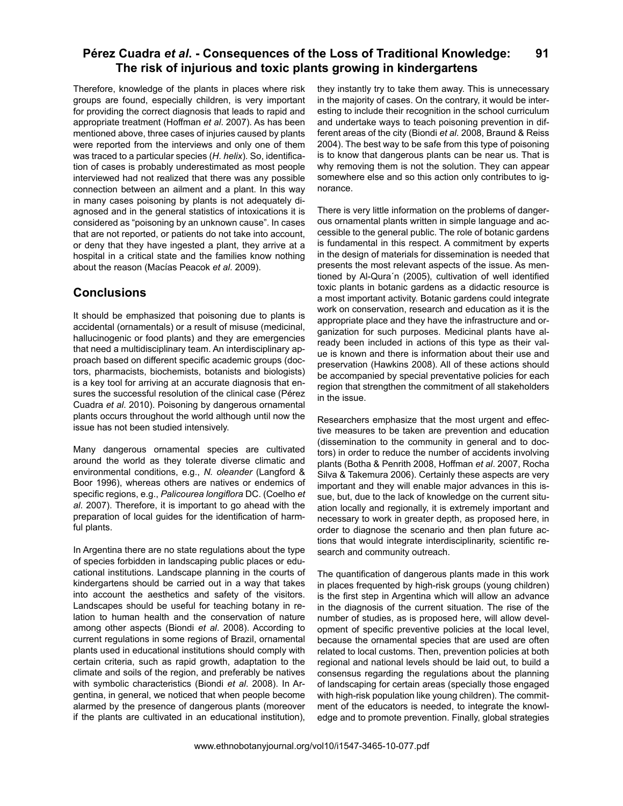Therefore, knowledge of the plants in places where risk groups are found, especially children, is very important for providing the correct diagnosis that leads to rapid and appropriate treatment (Hoffman *et al*. 2007). As has been mentioned above, three cases of injuries caused by plants were reported from the interviews and only one of them was traced to a particular species (*H. helix*). So, identification of cases is probably underestimated as most people interviewed had not realized that there was any possible connection between an ailment and a plant. In this way in many cases poisoning by plants is not adequately diagnosed and in the general statistics of intoxications it is considered as "poisoning by an unknown cause". In cases that are not reported, or patients do not take into account, or deny that they have ingested a plant, they arrive at a hospital in a critical state and the families know nothing about the reason (Macías Peacok *et al*. 2009).

# **Conclusions**

It should be emphasized that poisoning due to plants is accidental (ornamentals) or a result of misuse (medicinal, hallucinogenic or food plants) and they are emergencies that need a multidisciplinary team. An interdisciplinary approach based on different specific academic groups (doctors, pharmacists, biochemists, botanists and biologists) is a key tool for arriving at an accurate diagnosis that ensures the successful resolution of the clinical case (Pérez Cuadra *et al*. 2010). Poisoning by dangerous ornamental plants occurs throughout the world although until now the issue has not been studied intensively.

Many dangerous ornamental species are cultivated around the world as they tolerate diverse climatic and environmental conditions, e.g., *N. oleander* (Langford & Boor 1996), whereas others are natives or endemics of specific regions, e.g., *Palicourea longiflora* DC. (Coelho *et al*. 2007). Therefore, it is important to go ahead with the preparation of local guides for the identification of harmful plants.

In Argentina there are no state regulations about the type of species forbidden in landscaping public places or educational institutions. Landscape planning in the courts of kindergartens should be carried out in a way that takes into account the aesthetics and safety of the visitors. Landscapes should be useful for teaching botany in relation to human health and the conservation of nature among other aspects (Biondi *et al*. 2008). According to current regulations in some regions of Brazil, ornamental plants used in educational institutions should comply with certain criteria, such as rapid growth, adaptation to the climate and soils of the region, and preferably be natives with symbolic characteristics (Biondi *et al*. 2008). In Argentina, in general, we noticed that when people become alarmed by the presence of dangerous plants (moreover if the plants are cultivated in an educational institution),

they instantly try to take them away. This is unnecessary in the majority of cases. On the contrary, it would be interesting to include their recognition in the school curriculum and undertake ways to teach poisoning prevention in different areas of the city (Biondi *et al*. 2008, Braund & Reiss 2004). The best way to be safe from this type of poisoning is to know that dangerous plants can be near us. That is why removing them is not the solution. They can appear somewhere else and so this action only contributes to ignorance.

There is very little information on the problems of dangerous ornamental plants written in simple language and accessible to the general public. The role of botanic gardens is fundamental in this respect. A commitment by experts in the design of materials for dissemination is needed that presents the most relevant aspects of the issue. As mentioned by Al-Qura´n (2005), cultivation of well identified toxic plants in botanic gardens as a didactic resource is a most important activity. Botanic gardens could integrate work on conservation, research and education as it is the appropriate place and they have the infrastructure and organization for such purposes. Medicinal plants have already been included in actions of this type as their value is known and there is information about their use and preservation (Hawkins 2008). All of these actions should be accompanied by special preventative policies for each region that strengthen the commitment of all stakeholders in the issue.

Researchers emphasize that the most urgent and effective measures to be taken are prevention and education (dissemination to the community in general and to doctors) in order to reduce the number of accidents involving plants (Botha & Penrith 2008, Hoffman *et al*. 2007, Rocha Silva & Takemura 2006). Certainly these aspects are very important and they will enable major advances in this issue, but, due to the lack of knowledge on the current situation locally and regionally, it is extremely important and necessary to work in greater depth, as proposed here, in order to diagnose the scenario and then plan future actions that would integrate interdisciplinarity, scientific research and community outreach.

The quantification of dangerous plants made in this work in places frequented by high-risk groups (young children) is the first step in Argentina which will allow an advance in the diagnosis of the current situation. The rise of the number of studies, as is proposed here, will allow development of specific preventive policies at the local level, because the ornamental species that are used are often related to local customs. Then, prevention policies at both regional and national levels should be laid out, to build a consensus regarding the regulations about the planning of landscaping for certain areas (specially those engaged with high-risk population like young children). The commitment of the educators is needed, to integrate the knowledge and to promote prevention. Finally, global strategies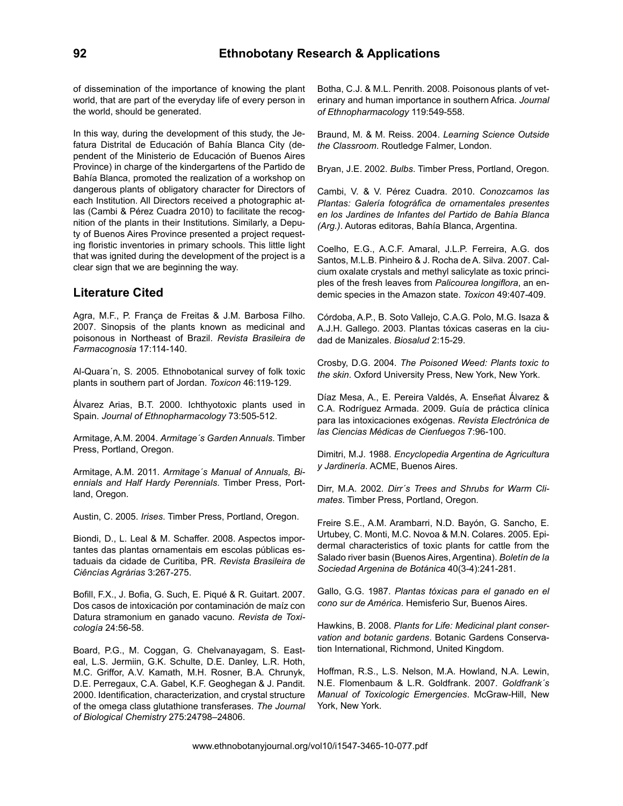of dissemination of the importance of knowing the plant world, that are part of the everyday life of every person in the world, should be generated.

In this way, during the development of this study, the Jefatura Distrital de Educación of Bahía Blanca City (dependent of the Ministerio de Educación of Buenos Aires Province) in charge of the kindergartens of the Partido de Bahía Blanca, promoted the realization of a workshop on dangerous plants of obligatory character for Directors of each Institution. All Directors received a photographic atlas (Cambi & Pérez Cuadra 2010) to facilitate the recognition of the plants in their Institutions. Similarly, a Deputy of Buenos Aires Province presented a project requesting floristic inventories in primary schools. This little light that was ignited during the development of the project is a clear sign that we are beginning the way.

# **Literature Cited**

Agra, M.F., P. Franςa de Freitas & J.M. Barbosa Filho. 2007. Sinopsis of the plants known as medicinal and poisonous in Northeast of Brazil. *Revista Brasileira de Farmacognosia* 17:114-140.

Al-Quara´n, S. 2005. Ethnobotanical survey of folk toxic plants in southern part of Jordan. *Toxicon* 46:119-129.

Álvarez Arias, B.T. 2000. Ichthyotoxic plants used in Spain. *Journal of Ethnopharmacology* 73:505-512.

Armitage, A.M. 2004. *Armitage´s Garden Annuals*. Timber Press, Portland, Oregon.

Armitage, A.M. 2011. *Armitage´s Manual of Annuals, Biennials and Half Hardy Perennials*. Timber Press, Portland, Oregon.

Austin, C. 2005. *Irises*. Timber Press, Portland, Oregon.

Biondi, D., L. Leal & M. Schaffer. 2008. Aspectos importantes das plantas ornamentais em escolas públicas estaduais da cidade de Curitiba, PR. *Revista Brasileira de Ciêncías Agrárias* 3:267-275.

Bofill, F.X., J. Bofia, G. Such, E. Piqué & R. Guitart. 2007. Dos casos de intoxicación por contaminación de maíz con Datura stramonium en ganado vacuno. *Revista de Toxicología* 24:56-58.

Board, P.G., M. Coggan, G. Chelvanayagam, S. Easteal, L.S. Jermiin, G.K. Schulte, D.E. Danley, L.R. Hoth, M.C. Griffor, A.V. Kamath, M.H. Rosner, B.A. Chrunyk, D.E. Perregaux, C.A. Gabel, K.F. Geoghegan & J. Pandit. 2000. Identification, characterization, and crystal structure of the omega class glutathione transferases. *The Journal of Biological Chemistry* 275:24798–24806.

Botha, C.J. & M.L. Penrith. 2008. Poisonous plants of veterinary and human importance in southern Africa. *Journal of Ethnopharmacology* 119:549-558.

Braund, M. & M. Reiss. 2004. *Learning Science Outside the Classroom*. Routledge Falmer, London.

Bryan, J.E. 2002. *Bulbs*. Timber Press, Portland, Oregon.

Cambi, V. & V. Pérez Cuadra. 2010. *Conozcamos las Plantas: Galería fotográfica de ornamentales presentes en los Jardines de Infantes del Partido de Bahía Blanca (Arg.)*. Autoras editoras, Bahía Blanca, Argentina.

Coelho, E.G., A.C.F. Amaral, J.L.P. Ferreira, A.G. dos Santos, M.L.B. Pinheiro & J. Rocha de A. Silva. 2007. Calcium oxalate crystals and methyl salicylate as toxic principles of the fresh leaves from *Palicourea longiflora*, an endemic species in the Amazon state. *Toxicon* 49:407-409.

Córdoba, A.P., B. Soto Vallejo, C.A.G. Polo, M.G. Isaza & A.J.H. Gallego. 2003. Plantas tóxicas caseras en la ciudad de Manizales. *Biosalud* 2:15-29.

Crosby, D.G. 2004. *The Poisoned Weed: Plants toxic to the skin*. Oxford University Press, New York, New York.

Díaz Mesa, A., E. Pereira Valdés, A. Enseñat Álvarez & C.A. Rodríguez Armada. 2009. Guía de práctica clínica para las intoxicaciones exógenas. *Revista Electrónica de las Ciencias Médicas de Cienfuegos* 7:96-100.

Dimitri, M.J. 1988. *Encyclopedia Argentina de Agricultura y Jardinería*. ACME, Buenos Aires.

Dirr, M.A. 2002. *Dirr´s Trees and Shrubs for Warm Climates*. Timber Press, Portland, Oregon.

Freire S.E., A.M. Arambarri, N.D. Bayón, G. Sancho, E. Urtubey, C. Monti, M.C. Novoa & M.N. Colares. 2005. Epidermal characteristics of toxic plants for cattle from the Salado river basin (Buenos Aires, Argentina). *Boletín de la Sociedad Argenina de Botánica* 40(3-4):241-281.

Gallo, G.G. 1987. *Plantas tóxicas para el ganado en el cono sur de América*. Hemisferio Sur, Buenos Aires.

Hawkins, B. 2008. *Plants for Life: Medicinal plant conservation and botanic gardens*. Botanic Gardens Conservation International, Richmond, United Kingdom.

Hoffman, R.S., L.S. Nelson, M.A. Howland, N.A. Lewin, N.E. Flomenbaum & L.R. Goldfrank. 2007. *Goldfrank´s Manual of Toxicologic Emergencies*. McGraw-Hill, New York, New York.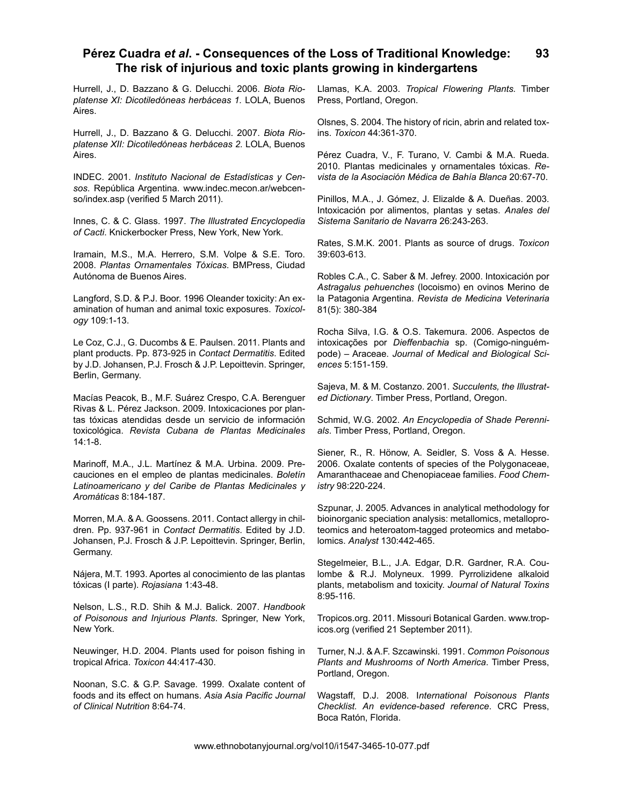Hurrell, J., D. Bazzano & G. Delucchi. 2006. *Biota Rioplatense XI: Dicotiledóneas herbáceas 1.* LOLA, Buenos Aires.

Hurrell, J., D. Bazzano & G. Delucchi. 2007. *Biota Rioplatense XII: Dicotiledóneas herbáceas 2.* LOLA, Buenos Aires.

INDEC. 2001. *Instituto Nacional de Estadísticas y Censos*. República Argentina. www.indec.mecon.ar/webcenso/index.asp (verified 5 March 2011).

Innes, C. & C. Glass. 1997. *The Illustrated Encyclopedia of Cacti*. Knickerbocker Press, New York, New York.

Iramain, M.S., M.A. Herrero, S.M. Volpe & S.E. Toro. 2008. *Plantas Ornamentales Tóxicas*. BMPress, Ciudad Autónoma de Buenos Aires.

Langford, S.D. & P.J. Boor. 1996 Oleander toxicity: An examination of human and animal toxic exposures. *Toxicology* 109:1-13.

Le Coz, C.J., G. Ducombs & E. Paulsen. 2011. Plants and plant products. Pp. 873-925 in *Contact Dermatitis*. Edited by J.D. Johansen, P.J. Frosch & J.P. Lepoittevin. Springer, Berlin, Germany.

Macías Peacok, B., M.F. Suárez Crespo, C.A. Berenguer Rivas & L. Pérez Jackson. 2009. Intoxicaciones por plantas tóxicas atendidas desde un servicio de información toxicológica. *Revista Cubana de Plantas Medicinales*  14:1-8.

Marinoff, M.A., J.L. Martínez & M.A. Urbina. 2009. Precauciones en el empleo de plantas medicinales. *Boletín Latinoamericano y del Caribe de Plantas Medicinales y Aromáticas* 8:184-187.

Morren, M.A. & A. Goossens. 2011. Contact allergy in children. Pp. 937-961 in *Contact Dermatitis*. Edited by J.D. Johansen, P.J. Frosch & J.P. Lepoittevin. Springer, Berlin, Germany.

Nájera, M.T. 1993. Aportes al conocimiento de las plantas tóxicas (I parte). *Rojasiana* 1:43-48.

Nelson, L.S., R.D. Shih & M.J. Balick. 2007. *Handbook of Poisonous and Injurious Plants*. Springer, New York, New York.

Neuwinger, H.D. 2004. Plants used for poison fishing in tropical Africa. *Toxicon* 44:417-430.

Noonan, S.C. & G.P. Savage. 1999. Oxalate content of foods and its effect on humans. *Asia Asia Pacific Journal of Clinical Nutrition* 8:64-74.

Llamas, K.A. 2003. *Tropical Flowering Plants.* Timber Press, Portland, Oregon.

Olsnes, S. 2004. The history of ricin, abrin and related toxins. *Toxicon* 44:361-370.

Pérez Cuadra, V., F. Turano, V. Cambi & M.A. Rueda. 2010. Plantas medicinales y ornamentales tóxicas. *Revista de la Asociación Médica de Bahía Blanca* 20:67-70.

Pinillos, M.A., J. Gómez, J. Elizalde & A. Dueñas. 2003. Intoxicación por alimentos, plantas y setas. *Anales del Sistema Sanitario de Navarra* 26:243-263.

Rates, S.M.K. 2001. Plants as source of drugs. *Toxicon* 39:603-613.

Robles C.A., C. Saber & M. Jefrey. 2000. Intoxicación por *Astragalus pehuenches* (locoismo) en ovinos Merino de la Patagonia Argentina. *Revista de Medicina Veterinaria*  81(5): 380-384

Rocha Silva, I.G. & O.S. Takemura. 2006. Aspectos de intoxicações por *Dieffenbachia* sp. (Comigo-ninguémpode) – Araceae. *Journal of Medical and Biological Sciences* 5:151-159.

Sajeva, M. & M. Costanzo. 2001. *Succulents, the Illustrated Dictionary*. Timber Press, Portland, Oregon.

Schmid, W.G. 2002. *An Encyclopedia of Shade Perennials*. Timber Press, Portland, Oregon.

Siener, R., R. Hönow, A. Seidler, S. Voss & A. Hesse. 2006. Oxalate contents of species of the Polygonaceae, Amaranthaceae and Chenopiaceae families. *Food Chemistry* 98:220-224.

Szpunar, J. 2005. Advances in analytical methodology for bioinorganic speciation analysis: metallomics, metalloproteomics and heteroatom-tagged proteomics and metabolomics. *Analyst* 130:442-465.

Stegelmeier, B.L., J.A. Edgar, D.R. Gardner, R.A. Coulombe & R.J. Molyneux. 1999. Pyrrolizidene alkaloid plants, metabolism and toxicity. *Journal of Natural Toxins*  8:95-116.

Tropicos.org. 2011. Missouri Botanical Garden. www.tropicos.org (verified 21 September 2011).

Turner, N.J. & A.F. Szcawinski. 1991. *Common Poisonous Plants and Mushrooms of North America*. Timber Press, Portland, Oregon.

Wagstaff, D.J. 2008. I*nternational Poisonous Plants Checklist. An evidence-based reference*. CRC Press, Boca Ratón, Florida.

www.ethnobotanyjournal.org/vol10/i1547-3465-10-077.pdf